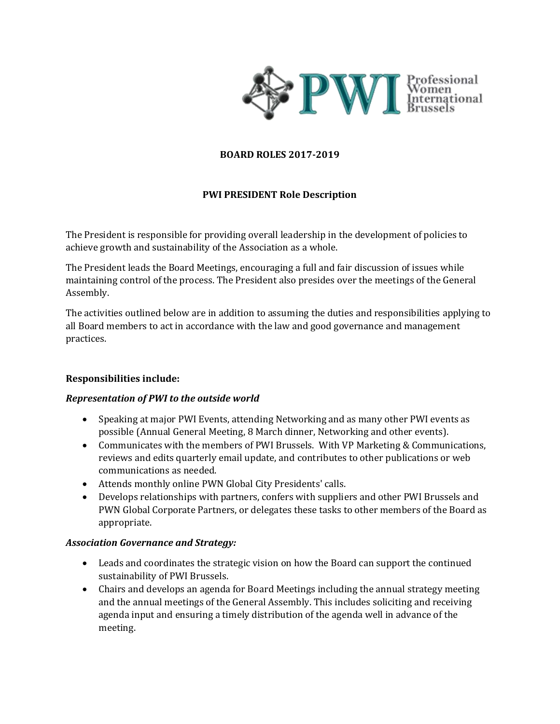

## **BOARD ROLES 2017-2019**

## **PWI PRESIDENT Role Description**

The President is responsible for providing overall leadership in the development of policies to achieve growth and sustainability of the Association as a whole.

The President leads the Board Meetings, encouraging a full and fair discussion of issues while maintaining control of the process. The President also presides over the meetings of the General Assembly.

The activities outlined below are in addition to assuming the duties and responsibilities applying to all Board members to act in accordance with the law and good governance and management practices.

## **Responsibilities include:**

### *Representation of PWI to the outside world*

- Speaking at major PWI Events, attending Networking and as many other PWI events as possible (Annual General Meeting, 8 March dinner, Networking and other events).
- Communicates with the members of PWI Brussels. With VP Marketing & Communications, reviews and edits quarterly email update, and contributes to other publications or web communications as needed.
- Attends monthly online PWN Global City Presidents' calls.
- Develops relationships with partners, confers with suppliers and other PWI Brussels and PWN Global Corporate Partners, or delegates these tasks to other members of the Board as appropriate.

### *Association Governance and Strategy:*

- Leads and coordinates the strategic vision on how the Board can support the continued sustainability of PWI Brussels.
- Chairs and develops an agenda for Board Meetings including the annual strategy meeting and the annual meetings of the General Assembly. This includes soliciting and receiving agenda input and ensuring a timely distribution of the agenda well in advance of the meeting.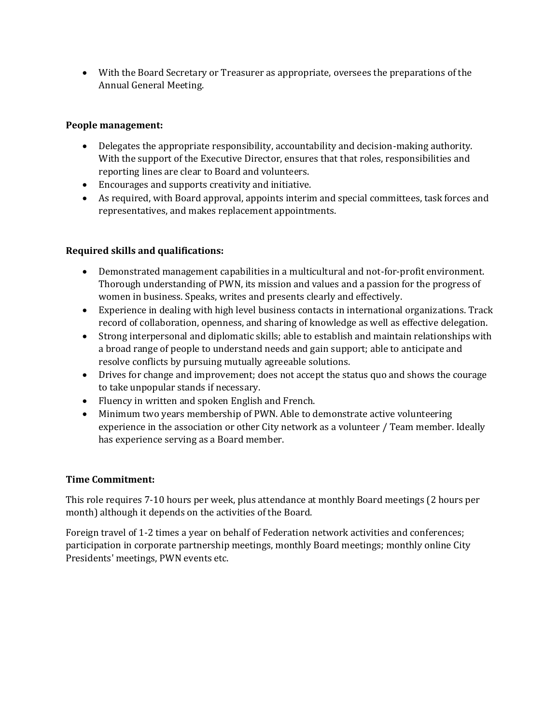• With the Board Secretary or Treasurer as appropriate, oversees the preparations of the Annual General Meeting.

# **People management:**

- Delegates the appropriate responsibility, accountability and decision-making authority. With the support of the Executive Director, ensures that that roles, responsibilities and reporting lines are clear to Board and volunteers.
- Encourages and supports creativity and initiative.
- As required, with Board approval, appoints interim and special committees, task forces and representatives, and makes replacement appointments.

# **Required skills and qualifications:**

- Demonstrated management capabilities in a multicultural and not-for-profit environment. Thorough understanding of PWN, its mission and values and a passion for the progress of women in business. Speaks, writes and presents clearly and effectively.
- Experience in dealing with high level business contacts in international organizations. Track record of collaboration, openness, and sharing of knowledge as well as effective delegation.
- Strong interpersonal and diplomatic skills; able to establish and maintain relationships with a broad range of people to understand needs and gain support; able to anticipate and resolve conflicts by pursuing mutually agreeable solutions.
- Drives for change and improvement; does not accept the status quo and shows the courage to take unpopular stands if necessary.
- Fluency in written and spoken English and French.
- Minimum two years membership of PWN. Able to demonstrate active volunteering experience in the association or other City network as a volunteer / Team member. Ideally has experience serving as a Board member.

# **Time Commitment:**

This role requires 7-10 hours per week, plus attendance at monthly Board meetings (2 hours per month) although it depends on the activities of the Board.

Foreign travel of 1-2 times a year on behalf of Federation network activities and conferences; participation in corporate partnership meetings, monthly Board meetings; monthly online City Presidents' meetings, PWN events etc.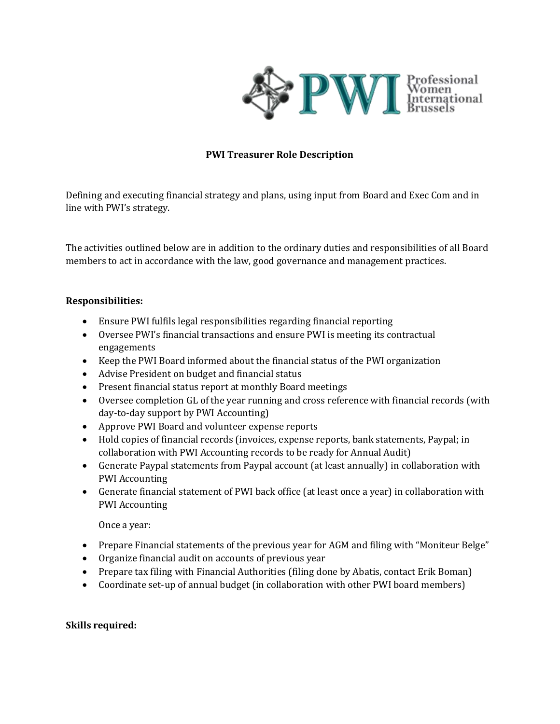

## **PWI Treasurer Role Description**

Defining and executing financial strategy and plans, using input from Board and Exec Com and in line with PWI's strategy.

The activities outlined below are in addition to the ordinary duties and responsibilities of all Board members to act in accordance with the law, good governance and management practices.

### **Responsibilities:**

- Ensure PWI fulfils legal responsibilities regarding financial reporting
- Oversee PWI's financial transactions and ensure PWI is meeting its contractual engagements
- Keep the PWI Board informed about the financial status of the PWI organization
- Advise President on budget and financial status
- Present financial status report at monthly Board meetings
- Oversee completion GL of the year running and cross reference with financial records (with day-to-day support by PWI Accounting)
- Approve PWI Board and volunteer expense reports
- Hold copies of financial records (invoices, expense reports, bank statements, Paypal; in collaboration with PWI Accounting records to be ready for Annual Audit)
- Generate Paypal statements from Paypal account (at least annually) in collaboration with PWI Accounting
- Generate financial statement of PWI back office (at least once a year) in collaboration with PWI Accounting

Once a year:

- Prepare Financial statements of the previous year for AGM and filing with "Moniteur Belge"
- Organize financial audit on accounts of previous year
- Prepare tax filing with Financial Authorities (filing done by Abatis, contact Erik Boman)
- Coordinate set-up of annual budget (in collaboration with other PWI board members)

### **Skills required:**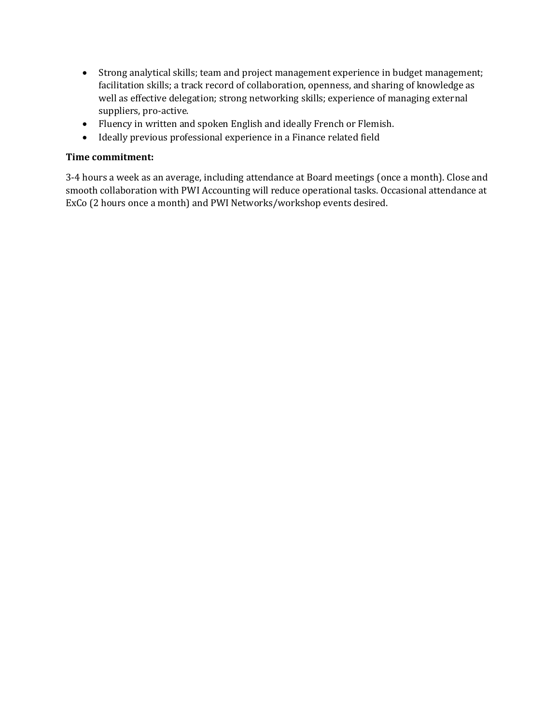- Strong analytical skills; team and project management experience in budget management; facilitation skills; a track record of collaboration, openness, and sharing of knowledge as well as effective delegation; strong networking skills; experience of managing external suppliers, pro-active.
- Fluency in written and spoken English and ideally French or Flemish.
- Ideally previous professional experience in a Finance related field

### **Time commitment:**

3-4 hours a week as an average, including attendance at Board meetings (once a month). Close and smooth collaboration with PWI Accounting will reduce operational tasks. Occasional attendance at ExCo (2 hours once a month) and PWI Networks/workshop events desired.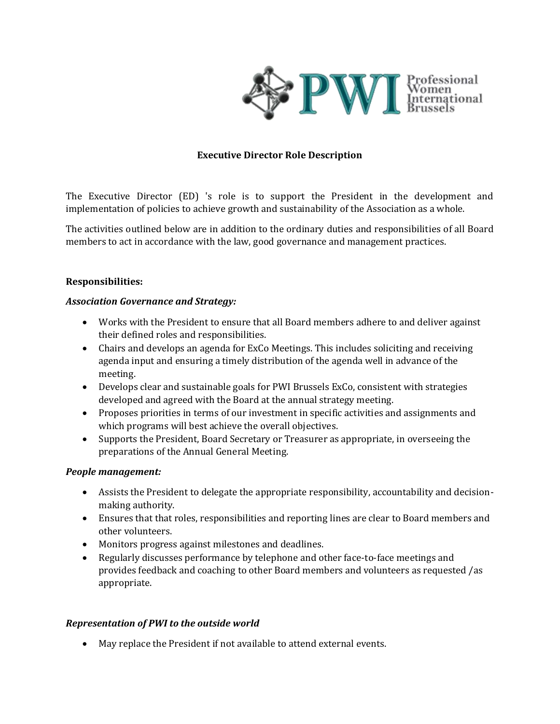

## **Executive Director Role Description**

The Executive Director (ED) 's role is to support the President in the development and implementation of policies to achieve growth and sustainability of the Association as a whole.

The activities outlined below are in addition to the ordinary duties and responsibilities of all Board members to act in accordance with the law, good governance and management practices.

### **Responsibilities:**

### *Association Governance and Strategy:*

- Works with the President to ensure that all Board members adhere to and deliver against their defined roles and responsibilities.
- Chairs and develops an agenda for ExCo Meetings. This includes soliciting and receiving agenda input and ensuring a timely distribution of the agenda well in advance of the meeting.
- Develops clear and sustainable goals for PWI Brussels ExCo, consistent with strategies developed and agreed with the Board at the annual strategy meeting.
- Proposes priorities in terms of our investment in specific activities and assignments and which programs will best achieve the overall objectives.
- Supports the President, Board Secretary or Treasurer as appropriate, in overseeing the preparations of the Annual General Meeting.

### *People management:*

- Assists the President to delegate the appropriate responsibility, accountability and decisionmaking authority.
- Ensures that that roles, responsibilities and reporting lines are clear to Board members and other volunteers.
- Monitors progress against milestones and deadlines.
- Regularly discusses performance by telephone and other face-to-face meetings and provides feedback and coaching to other Board members and volunteers as requested /as appropriate.

## *Representation of PWI to the outside world*

• May replace the President if not available to attend external events.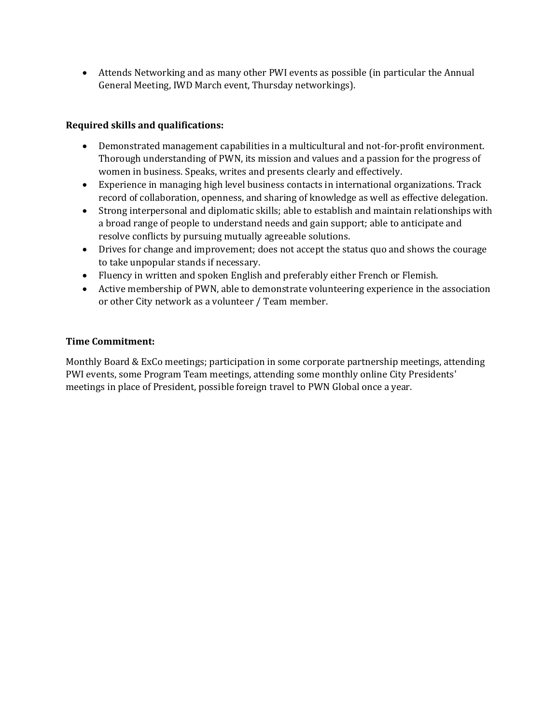• Attends Networking and as many other PWI events as possible (in particular the Annual General Meeting, IWD March event, Thursday networkings).

# **Required skills and qualifications:**

- Demonstrated management capabilities in a multicultural and not-for-profit environment. Thorough understanding of PWN, its mission and values and a passion for the progress of women in business. Speaks, writes and presents clearly and effectively.
- Experience in managing high level business contacts in international organizations. Track record of collaboration, openness, and sharing of knowledge as well as effective delegation.
- Strong interpersonal and diplomatic skills; able to establish and maintain relationships with a broad range of people to understand needs and gain support; able to anticipate and resolve conflicts by pursuing mutually agreeable solutions.
- Drives for change and improvement; does not accept the status quo and shows the courage to take unpopular stands if necessary.
- Fluency in written and spoken English and preferably either French or Flemish.
- Active membership of PWN, able to demonstrate volunteering experience in the association or other City network as a volunteer / Team member.

## **Time Commitment:**

Monthly Board & ExCo meetings; participation in some corporate partnership meetings, attending PWI events, some Program Team meetings, attending some monthly online City Presidents' meetings in place of President, possible foreign travel to PWN Global once a year.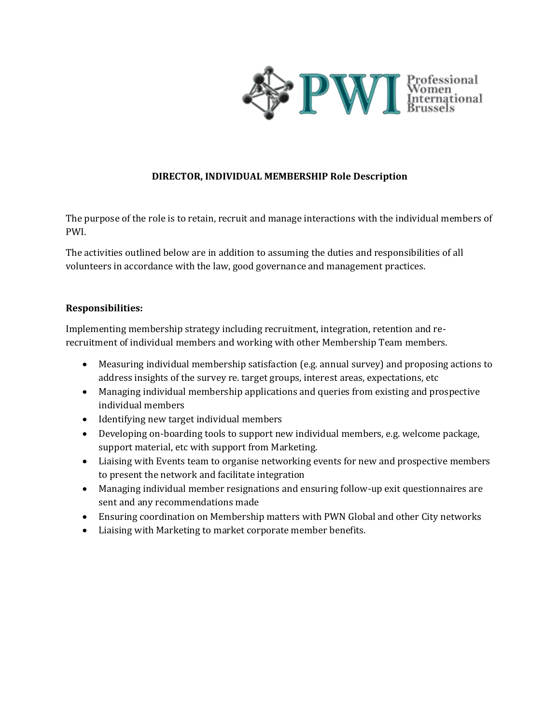

# **DIRECTOR, INDIVIDUAL MEMBERSHIP Role Description**

The purpose of the role is to retain, recruit and manage interactions with the individual members of PWI.

The activities outlined below are in addition to assuming the duties and responsibilities of all volunteers in accordance with the law, good governance and management practices.

## **Responsibilities:**

Implementing membership strategy including recruitment, integration, retention and rerecruitment of individual members and working with other Membership Team members.

- Measuring individual membership satisfaction (e.g. annual survey) and proposing actions to address insights of the survey re. target groups, interest areas, expectations, etc
- Managing individual membership applications and queries from existing and prospective individual members
- Identifying new target individual members
- Developing on-boarding tools to support new individual members, e.g. welcome package, support material, etc with support from Marketing.
- Liaising with Events team to organise networking events for new and prospective members to present the network and facilitate integration
- Managing individual member resignations and ensuring follow-up exit questionnaires are sent and any recommendations made
- Ensuring coordination on Membership matters with PWN Global and other City networks
- Liaising with Marketing to market corporate member benefits.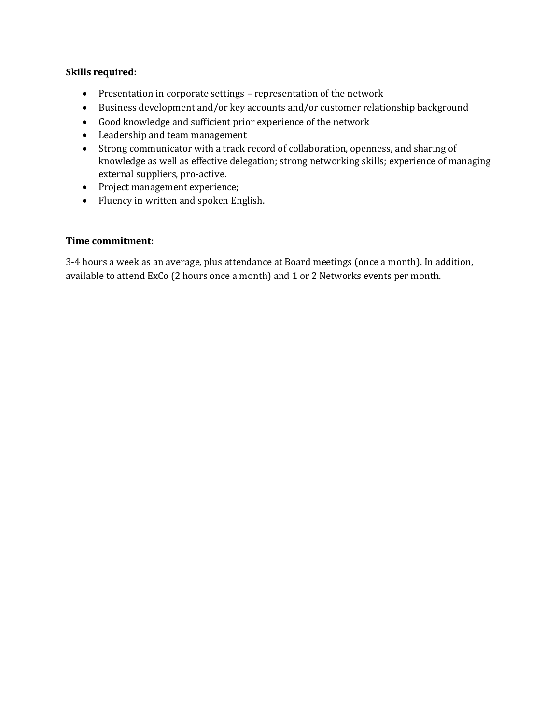## **Skills required:**

- Presentation in corporate settings representation of the network
- Business development and/or key accounts and/or customer relationship background
- Good knowledge and sufficient prior experience of the network
- Leadership and team management
- Strong communicator with a track record of collaboration, openness, and sharing of knowledge as well as effective delegation; strong networking skills; experience of managing external suppliers, pro-active.
- Project management experience;
- Fluency in written and spoken English.

### **Time commitment:**

3-4 hours a week as an average, plus attendance at Board meetings (once a month). In addition, available to attend ExCo (2 hours once a month) and 1 or 2 Networks events per month.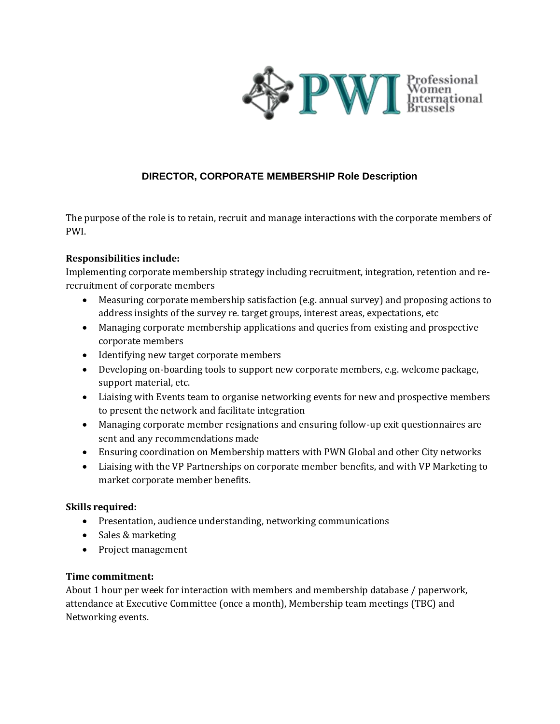

# **DIRECTOR, CORPORATE MEMBERSHIP Role Description**

The purpose of the role is to retain, recruit and manage interactions with the corporate members of PWI.

### **Responsibilities include:**

Implementing corporate membership strategy including recruitment, integration, retention and rerecruitment of corporate members

- Measuring corporate membership satisfaction (e.g. annual survey) and proposing actions to address insights of the survey re. target groups, interest areas, expectations, etc
- Managing corporate membership applications and queries from existing and prospective corporate members
- Identifying new target corporate members
- Developing on-boarding tools to support new corporate members, e.g. welcome package, support material, etc.
- Liaising with Events team to organise networking events for new and prospective members to present the network and facilitate integration
- Managing corporate member resignations and ensuring follow-up exit questionnaires are sent and any recommendations made
- Ensuring coordination on Membership matters with PWN Global and other City networks
- Liaising with the VP Partnerships on corporate member benefits, and with VP Marketing to market corporate member benefits.

## **Skills required:**

- Presentation, audience understanding, networking communications
- Sales & marketing
- Project management

### **Time commitment:**

About 1 hour per week for interaction with members and membership database / paperwork, attendance at Executive Committee (once a month), Membership team meetings (TBC) and Networking events.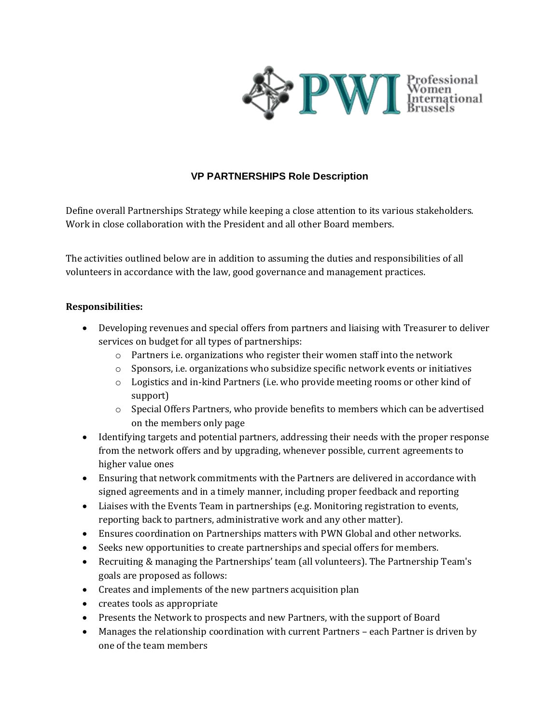

# **VP PARTNERSHIPS Role Description**

Define overall Partnerships Strategy while keeping a close attention to its various stakeholders. Work in close collaboration with the President and all other Board members.

The activities outlined below are in addition to assuming the duties and responsibilities of all volunteers in accordance with the law, good governance and management practices.

## **Responsibilities:**

- Developing revenues and special offers from partners and liaising with Treasurer to deliver services on budget for all types of partnerships:
	- $\circ$  Partners i.e. organizations who register their women staff into the network
	- $\circ$  Sponsors, i.e. organizations who subsidize specific network events or initiatives
	- o Logistics and in-kind Partners (i.e. who provide meeting rooms or other kind of support)
	- $\circ$  Special Offers Partners, who provide benefits to members which can be advertised on the members only page
- Identifying targets and potential partners, addressing their needs with the proper response from the network offers and by upgrading, whenever possible, current agreements to higher value ones
- Ensuring that network commitments with the Partners are delivered in accordance with signed agreements and in a timely manner, including proper feedback and reporting
- Liaises with the Events Team in partnerships (e.g. Monitoring registration to events, reporting back to partners, administrative work and any other matter).
- Ensures coordination on Partnerships matters with PWN Global and other networks.
- Seeks new opportunities to create partnerships and special offers for members.
- Recruiting & managing the Partnerships' team (all volunteers). The Partnership Team's goals are proposed as follows:
- Creates and implements of the new partners acquisition plan
- creates tools as appropriate
- Presents the Network to prospects and new Partners, with the support of Board
- Manages the relationship coordination with current Partners each Partner is driven by one of the team members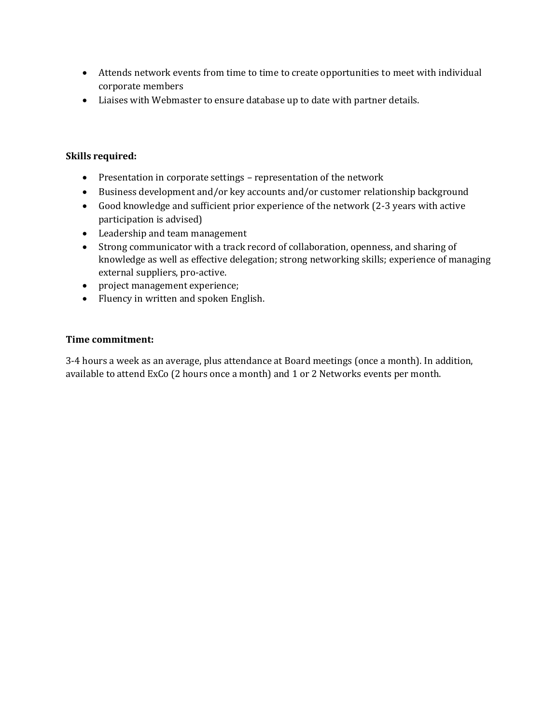- Attends network events from time to time to create opportunities to meet with individual corporate members
- Liaises with Webmaster to ensure database up to date with partner details.

# **Skills required:**

- Presentation in corporate settings representation of the network
- Business development and/or key accounts and/or customer relationship background
- Good knowledge and sufficient prior experience of the network (2-3 years with active participation is advised)
- Leadership and team management
- Strong communicator with a track record of collaboration, openness, and sharing of knowledge as well as effective delegation; strong networking skills; experience of managing external suppliers, pro-active.
- project management experience;
- Fluency in written and spoken English.

## **Time commitment:**

3-4 hours a week as an average, plus attendance at Board meetings (once a month). In addition, available to attend ExCo (2 hours once a month) and 1 or 2 Networks events per month.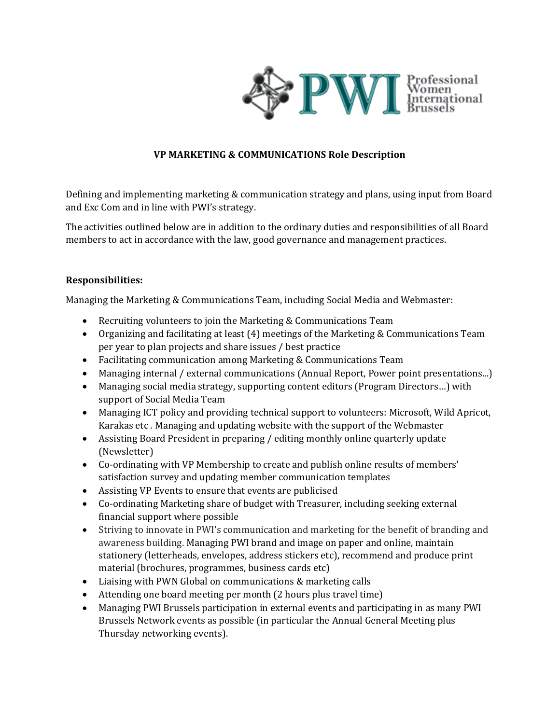

# **VP MARKETING & COMMUNICATIONS Role Description**

Defining and implementing marketing & communication strategy and plans, using input from Board and Exc Com and in line with PWI's strategy.

The activities outlined below are in addition to the ordinary duties and responsibilities of all Board members to act in accordance with the law, good governance and management practices.

## **Responsibilities:**

Managing the Marketing & Communications Team, including Social Media and Webmaster:

- Recruiting volunteers to join the Marketing & Communications Team
- Organizing and facilitating at least (4) meetings of the Marketing & Communications Team per year to plan projects and share issues / best practice
- Facilitating communication among Marketing & Communications Team
- Managing internal / external communications (Annual Report, Power point presentations...)
- Managing social media strategy, supporting content editors (Program Directors…) with support of Social Media Team
- Managing ICT policy and providing technical support to volunteers: Microsoft, Wild Apricot, Karakas etc *.* Managing and updating website with the support of the Webmaster
- Assisting Board President in preparing / editing monthly online quarterly update (Newsletter)
- Co-ordinating with VP Membership to create and publish online results of members' satisfaction survey and updating member communication templates
- Assisting VP Events to ensure that events are publicised
- Co-ordinating Marketing share of budget with Treasurer, including seeking external financial support where possible
- Striving to innovate in PWI's communication and marketing for the benefit of branding and awareness building. Managing PWI brand and image on paper and online, maintain stationery (letterheads, envelopes, address stickers etc), recommend and produce print material (brochures, programmes, business cards etc)
- Liaising with PWN Global on communications & marketing calls
- Attending one board meeting per month (2 hours plus travel time)
- Managing PWI Brussels participation in external events and participating in as many PWI Brussels Network events as possible (in particular the Annual General Meeting plus Thursday networking events).